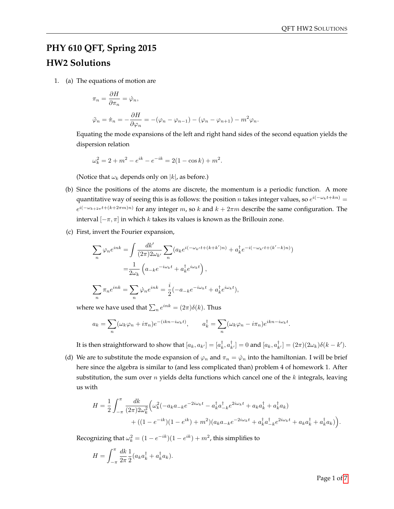## **PHY 610 QFT, Spring 2015 HW2 Solutions**

1. (a) The equations of motion are

$$
\pi_n = \frac{\partial H}{\partial \pi_n} = \dot{\varphi}_n,
$$
  

$$
\ddot{\varphi}_n = \dot{\pi}_n = -\frac{\partial H}{\partial \varphi_n} = -(\varphi_n - \varphi_{n-1}) - (\varphi_n - \varphi_{n+1}) - m^2 \varphi_n.
$$

Equating the mode expansions of the left and right hand sides of the second equation yields the dispersion relation

$$
\omega_k^2 = 2 + m^2 - e^{ik} - e^{-ik} = 2(1 - \cos k) + m^2.
$$

(Notice that  $\omega_k$  depends only on  $|k|$ , as before.)

- (b) Since the positions of the atoms are discrete, the momentum is a periodic function. A more quantitative way of seeing this is as follows: the position n takes integer values, so  $e^{i(-\omega_k t + kn)}$  =  $e^{i(-\omega_{k+2\pi}t+(k+2\pi m)n)}$  for any integer m, so k and  $k+2\pi m$  describe the same configuration. The interval  $[-\pi, \pi]$  in which k takes its values is known as the Brillouin zone.
- (c) First, invert the Fourier expansion,

n

$$
\sum_{n} \varphi_{n} e^{ink} = \int \frac{dk'}{(2\pi)2\omega_{k'}} \sum_{n} (a_{k}e^{i(-\omega_{k'}t + (k+k')n)} + a_{k}^{\dagger} e^{-i(-\omega_{k'}t + (k'-k)n)})
$$

$$
= \frac{1}{2\omega_{k}} \left( a_{-k}e^{-i\omega_{k}t} + a_{k}^{\dagger}e^{i\omega_{k}t} \right),
$$

$$
\sum_{n} \pi_{n} e^{ink} = \sum_{n} \varphi_{n} e^{ink} = \frac{i}{2} (-a_{-k}e^{-i\omega_{k}t} + a_{k}^{\dagger}e^{i\omega_{k}t}),
$$

where we have used that  $\sum_n e^{ink} = (2\pi)\delta(k)$ . Thus

n

$$
a_k = \sum_n (\omega_k \varphi_n + i\pi_n) e^{-(ikn - i\omega_k t)}, \qquad a_k^{\dagger} = \sum_n (\omega_k \varphi_n - i\pi_n) e^{ikn - i\omega_k t}.
$$

It is then straightforward to show that  $[a_k, a_{k'}] = [a_k^{\dagger}, a_{k'}^{\dagger}] = 0$  and  $[a_k, a_{k'}^{\dagger}] = (2\pi)(2\omega_k)\delta(k - k').$ 

(d) We are to substitute the mode expansion of  $\varphi_n$  and  $\pi_n = \dot{\varphi}_n$  into the hamiltonian. I will be brief here since the algebra is similar to (and less complicated than) problem 4 of homework 1. After substitution, the sum over  $n$  yields delta functions which cancel one of the  $k$  integrals, leaving us with

$$
H = \frac{1}{2} \int_{-\pi}^{\pi} \frac{dk}{(2\pi)2\omega_k^2} \Big( \omega_k^2 (-a_k a_{-k} e^{-2i\omega_k t} - a_k^{\dagger} a_{-k}^{\dagger} e^{2i\omega_k t} + a_k a_k^{\dagger} + a_k^{\dagger} a_k) + ((1 - e^{-ik})(1 - e^{ik}) + m^2)(a_k a_{-k} e^{-2i\omega_k t} + a_k^{\dagger} a_{-k}^{\dagger} e^{2i\omega_k t} + a_k a_k^{\dagger} + a_k^{\dagger} a_k) \Big).
$$

Recognizing that  $\omega_k^2 = (1 - e^{-ik})(1 - e^{ik}) + m^2$ , this simplifies to

$$
H = \int_{-\pi}^{\pi} \frac{dk}{2\pi} \frac{1}{2} (a_k a_k^{\dagger} + a_k^{\dagger} a_k).
$$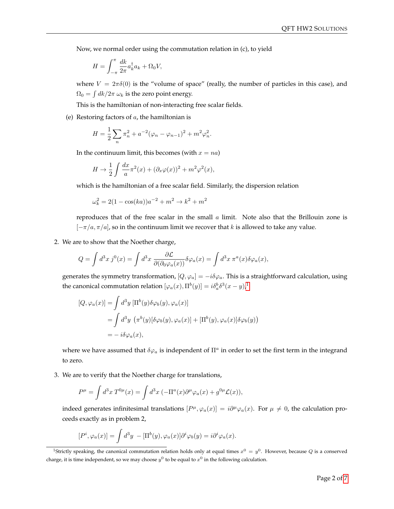Now, we normal order using the commutation relation in (c), to yield

$$
H = \int_{-\pi}^{\pi} \frac{dk}{2\pi} a_k^{\dagger} a_k + \Omega_0 V,
$$

where  $V = 2\pi\delta(0)$  is the "volume of space" (really, the number of particles in this case), and  $\Omega_0 = \int dk / 2\pi \omega_k$  is the zero point energy.

This is the hamiltonian of non-interacting free scalar fields.

(e) Restoring factors of  $a$ , the hamiltonian is

$$
H = \frac{1}{2} \sum_{n} \pi_n^2 + a^{-2} (\varphi_n - \varphi_{n-1})^2 + m^2 \varphi_n^2.
$$

In the continuum limit, this becomes (with  $x = na$ )

$$
H \to \frac{1}{2} \int \frac{dx}{a} \pi^2(x) + (\partial_x \varphi(x))^2 + m^2 \varphi^2(x),
$$

which is the hamiltonian of a free scalar field. Similarly, the dispersion relation

$$
\omega_k^2 = 2(1 - \cos(ka))a^{-2} + m^2 \to k^2 + m^2
$$

reproduces that of the free scalar in the small  $a$  limit. Note also that the Brillouin zone is  $[-\pi/a, \pi/a]$ , so in the continuum limit we recover that k is allowed to take any value.

2. We are to show that the Noether charge,

$$
Q = \int d^3x \, j^0(x) = \int d^3x \, \frac{\partial \mathcal{L}}{\partial(\partial_0 \varphi_a(x))} \delta \varphi_a(x) = \int d^3x \, \pi^a(x) \delta \varphi_a(x),
$$

generates the symmetry transformation,  $[Q, \varphi_a] = -i\delta\varphi_a$ . This is a straightforward calculation, using the canonical commutation relation  $[\varphi_a(x), \Pi^b(y)] = i \delta^b_a \delta^3(x-y)^1$  $[\varphi_a(x), \Pi^b(y)] = i \delta^b_a \delta^3(x-y)^1$ 

$$
[Q, \varphi_a(x)] = \int d^3y \left[ \Pi^b(y) \delta \varphi_b(y), \varphi_a(x) \right]
$$
  
= 
$$
\int d^3y \left( \pi^b(y) [\delta \varphi_b(y), \varphi_a(x)] + [\Pi^b(y), \varphi_a(x)] \delta \varphi_b(y) \right)
$$
  
= 
$$
-i \delta \varphi_a(x),
$$

where we have assumed that  $\delta\varphi_a$  is independent of  $\Pi^a$  in order to set the first term in the integrand to zero.

3. We are to verify that the Noether charge for translations,

$$
P^{\mu} = \int d^3x \ T^{0\mu}(x) = \int d^3x \ (-\Pi^a(x)\partial^{\mu}\varphi_a(x) + g^{0\mu}\mathcal{L}(x)),
$$

indeed generates infinitesimal translations  $[P^{\mu}, \varphi_a(x)] = i\partial^{\mu}\varphi_a(x)$ . For  $\mu \neq 0$ , the calculation proceeds exactly as in problem 2,

$$
[P^i, \varphi_a(x)] = \int d^3y \ -[\Pi^b(y), \varphi_a(x)]\partial^i\varphi_b(y) = i\partial^i\varphi_a(x).
$$

<span id="page-1-0"></span><sup>&</sup>lt;sup>1</sup>Strictly speaking, the canonical commutation relation holds only at equal times  $x^0 = y^0$ . However, because Q is a conserved charge, it is time independent, so we may choose  $y^0$  to be equal to  $x^0$  in the following calculation.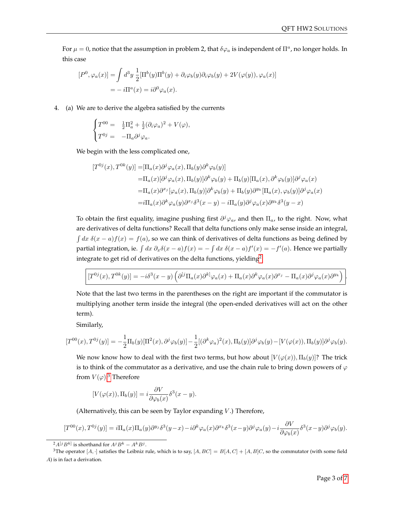For  $\mu = 0$ , notice that the assumption in problem 2, that  $\delta\varphi_a$  is independent of  $\Pi^a$ , no longer holds. In this case

$$
[P^{0}, \varphi_{a}(x)] = \int d^{3}y \frac{1}{2} [\Pi^{b}(y)\Pi^{b}(y) + \partial_{i}\varphi_{b}(y)\partial_{i}\varphi_{b}(y) + 2V(\varphi(y)), \varphi_{a}(x)]
$$
  
= 
$$
-i\Pi^{a}(x) = i\partial^{0}\varphi_{a}(x).
$$

4. (a) We are to derive the algebra satisfied by the currents

$$
\begin{cases}\nT^{00} = & \frac{1}{2}\Pi_a^2 + \frac{1}{2}(\partial_i\varphi_a)^2 + V(\varphi), \\
T^{0j} = & -\Pi_a\partial^j\varphi_a.\n\end{cases}
$$

We begin with the less complicated one,

$$
[T^{0j}(x), T^{0k}(y)] = [\Pi_a(x)\partial^j \varphi_a(x), \Pi_b(y)\partial^k \varphi_b(y)]
$$
  
\n
$$
= \Pi_a(x)[\partial^j \varphi_a(x), \Pi_b(y)]\partial^k \varphi_b(y) + \Pi_b(y)[\Pi_a(x), \partial^k \varphi_b(y)]\partial^j \varphi_a(x)
$$
  
\n
$$
= \Pi_a(x)\partial^{x_j}[\varphi_a(x), \Pi_b(y)]\partial^k \varphi_b(y) + \Pi_b(y)\partial^{y_k}[\Pi_a(x), \varphi_b(y)]\partial^j \varphi_a(x)
$$
  
\n
$$
= i\Pi_a(x)\partial^k \varphi_a(y)\partial^{x_j}\delta^3(x - y) - i\Pi_a(y)\partial^j \varphi_a(x)\partial^{y_k}\delta^3(y - x)
$$

To obtain the first equality, imagine pushing first  $\partial^j \varphi_a$ , and then  $\Pi_a$ , to the right. Now, what are derivatives of delta functions? Recall that delta functions only make sense inside an integral,  $\int dx \delta(x-a)f(x) = f(a)$ , so we can think of derivatives of delta functions as being defined by partial integration, ie.  $\int dx \, \partial_x \delta(x-a) f(x) = - \int dx \, \delta(x-a) f'(x) = -f'(a)$ . Hence we partially integrate to get rid of derivatives on the delta functions, yielding<sup>[2](#page-2-0)</sup>

$$
[T^{0j}(x),T^{0k}(y)]=-i\delta^3(x-y)\left(\partial^{[j}\Pi_a(x)\partial^{k]} \varphi_a(x)+\Pi_a(x)\partial^{k} \varphi_a(x)\partial^{x_j}-\Pi_a(x)\partial^{j} \varphi_a(x)\partial^{y_k}\right)
$$

Note that the last two terms in the parentheses on the right are important if the commutator is multiplying another term inside the integral (the open-ended derivatives will act on the other term).

Similarly,

$$
[T^{00}(x), T^{0j}(y)] = -\frac{1}{2} \Pi_b(y) [\Pi^2(x), \partial^j \varphi_b(y)] - \frac{1}{2} [(\partial^k \varphi_a)^2(x), \Pi_b(y)] \partial^j \varphi_b(y) - [V(\varphi(x)), \Pi_b(y)] \partial^j \varphi_b(y).
$$

We now know how to deal with the first two terms, but how about  $[V(\varphi(x)), \Pi_b(y)]$ ? The trick is to think of the commutator as a derivative, and use the chain rule to bring down powers of  $\varphi$ from  $V(\varphi)$ .<sup>[3](#page-2-1)</sup> Therefore

$$
[V(\varphi(x)), \Pi_b(y)] = i \frac{\partial V}{\partial \varphi_b(x)} \delta^3(x - y).
$$

(Alternatively, this can be seen by Taylor expanding  $V$ .) Therefore,

$$
[T^{00}(x), T^{0j}(y)] = i\Pi_a(x)\Pi_a(y)\partial^{y_j}\delta^3(y-x) - i\partial^k\varphi_a(x)\partial^{x_k}\delta^3(x-y)\partial^j\varphi_a(y) - i\frac{\partial V}{\partial\varphi_b(x)}\delta^3(x-y)\partial^j\varphi_b(y).
$$

.

<span id="page-2-1"></span><span id="page-2-0"></span> $2A^{[j}B^{k]}$  is shorthand for  $A^{j}B^{k}-A^{k}B^{j}$ .

<sup>&</sup>lt;sup>3</sup>The operator [A, ·] satisfies the Leibniz rule, which is to say, [A, BC] = B[A, C] + [A, B]C, so the commutator (with some field A) is in fact a derivation.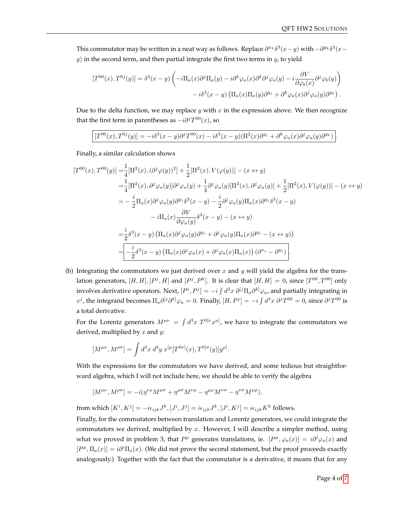This commutator may be written in a neat way as follows. Replace  $\partial^{x_k}\delta^3(x-y)$  with  $-\partial^{y_k}\delta^3(x-y)$  $y$ ) in the second term, and then partial integrate the first two terms in  $y$ , to yield

$$
[T^{00}(x), T^{0j}(y)] = \delta^3(x - y) \left( -i\Pi_a(x)\partial^j\Pi_a(y) - i\partial^k\varphi_a(x)\partial^k\partial^j\varphi_a(y) - i\frac{\partial V}{\partial\varphi_b(x)}\partial^j\varphi_b(y) \right) - i\delta^3(x - y) \left( \Pi_a(x)\Pi_a(y)\partial^{y_j} + \partial^k\varphi_a(x)\partial^j\varphi_a(y)\partial^{y_k} \right).
$$

Due to the delta function, we may replace  $y$  with  $x$  in the expression above. We then recognize that the first term in parentheses as  $-i\partial^j T^{00}(x)$ , so

$$
[T^{00}(x),T^{0j}(y)]=-i\delta^3(x-y)\partial^j T^{00}(x)-i\delta^3(x-y)(\Pi^2(x)\partial^{y_j}+\partial^k\varphi_a(x)\partial^j\varphi_a(y)\partial^{y_k})\big].
$$

Finally, a similar calculation shows

$$
[T^{00}(x), T^{00}(y)] = \frac{1}{4} [\Pi^2(x), (\partial^j \varphi(y))^2] + \frac{1}{2} [\Pi^2(x), V(\varphi(y))] - (x \leftrightarrow y)
$$
  
\n
$$
= \frac{1}{4} [\Pi^2(x), \partial^j \varphi_a(y)] \partial^j \varphi_a(y) + \frac{1}{4} \partial^j \varphi_a(y) [\Pi^2(x), \partial^j \varphi_a(y)] + \frac{1}{2} [\Pi^2(x), V(\varphi(y))] - (x \leftrightarrow y)
$$
  
\n
$$
= -\frac{i}{2} \Pi_a(x) \partial^j \varphi_a(y) \partial^{y_j} \delta^3(x - y) - \frac{i}{2} \partial^j \varphi_a(y) \Pi_a(x) \partial^{y_j} \delta^3(x - y)
$$
  
\n
$$
-i\Pi_a(x) \frac{\partial V}{\partial \varphi_a(y)} \delta^3(x - y) - (x \leftrightarrow y)
$$
  
\n
$$
= \frac{i}{2} \delta^3(x - y) (\Pi_a(x) \partial^j \varphi_a(y) \partial^{y_j} + \partial^j \varphi_a(y) \Pi_a(x) \partial^{y_j} - (x \leftrightarrow y))
$$
  
\n
$$
= -\frac{i}{2} \delta^3(x - y) (\Pi_a(x) \partial^j \varphi_a(x) + \partial^j \varphi_a(x) \Pi_a(x)) (\partial^{x_j} - \partial^{y_j}).
$$

(b) Integrating the commutators we just derived over  $x$  and  $y$  will yield the algebra for the translation generators,  $[H,H],[P^j,H]$  and  $[P^j,P^k]$ . It is clear that  $[H,H]=0$ , since  $[T^{00},T^{00}]$  only involves derivative operators. Next,  $[P^i,P^j]=-i\int d^3x\ \partial^{[j}\Pi_a\partial^{k]}\varphi_a$ , and partially integrating in  $x^j$ , the integrand becomes  $\Pi_a \partial^{[j} \partial^{k]} \varphi_a = 0$ . Finally,  $[H, P^j] = -i \int d^3x \ \partial^j T^{00} = 0$ , since  $\partial^j T^{00}$  is a total derivative.

For the Lorentz generators  $M^{\mu\nu} = \int d^3x \; T^{0[\nu}x^{\mu]},$  we have to integrate the commutators we derived, multiplied by  $x$  and  $y$ :

$$
[M^{\mu\nu}, M^{\rho\sigma}] = \int d^3x \, d^3y \, x^{[\mu}[T^{0\nu]}(x), T^{0[\sigma}(y)]y^{\rho]}.
$$

With the expressions for the commutators we have derived, and some tedious but straightforward algebra, which I will not include here, we should be able to verify the algebra

$$
[M^{\mu\nu}, M^{\rho\sigma}] = -i(\eta^{\nu\rho}M^{\mu\sigma} + \eta^{\mu\sigma}M^{\nu\rho} - \eta^{\mu\rho}M^{\nu\sigma} - \eta^{\nu\sigma}M^{\mu\rho}),
$$

from which  $[K^i, K^j] = -i\epsilon_{ijk}J^k, [J^i, J^j] = i\epsilon_{ijk}J^k, [J^i, K^j] = i\epsilon_{ijk}K^k$  follows.

Finally, for the commutators between translation and Lorentz generators, we could integrate the commutators we derived, multiplied by  $x$ . However, I will describe a simpler method, using what we proved in problem 3, that  $P^{\mu}$  generates translations, ie.  $[P^{\mu}, \varphi_a(x)] = i\partial^i \varphi_a(x)$  and  $[P^{\mu}, \Pi_a(x)] = i\partial^i\Pi_a(x)$ . (We did not prove the second statement, but the proof proceeds exactly analogously.) Together with the fact that the commutator is a derivative, it means that for any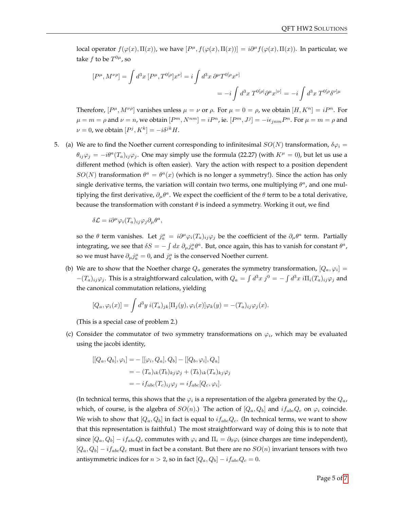local operator  $f(\varphi(x), \Pi(x))$ , we have  $[P^{\mu}, f(\varphi(x), \Pi(x))] = i\partial^{\mu}f(\varphi(x), \Pi(x))$ . In particular, we take  $f$  to be  $T^{0\mu}$ , so

$$
[P^{\mu}, M^{\nu \rho}] = \int d^3x [P^{\mu}, T^{0[\rho]}x^{\nu]} = i \int d^3x \ \partial^{\mu} T^{0[\rho} x^{\nu]}
$$
  

$$
= -i \int d^3x T^{0[\rho]} \partial^{\mu} x^{|\nu]} = -i \int d^3x T^{0[\rho} \partial^{\nu] \mu}
$$

Therefore,  $[P^{\mu}, M^{\nu\rho}]$  vanishes unless  $\mu = \nu$  or  $\rho$ . For  $\mu = 0 = \rho$ , we obtain  $[H, K^n] = iP^n$ . For  $\mu = m = \rho$  and  $\nu = n$ , we obtain  $[P^m, N^{nm}] = iP^n$ , ie.  $[P^m, J^j] = -i\epsilon_{jnm} P^n$ . For  $\mu = m = \rho$  and  $\nu = 0$ , we obtain  $[P^j, K^k] = -i\delta^{jk}H$ .

5. (a) We are to find the Noether current corresponding to infinitesimal  $SO(N)$  transformation,  $\delta\varphi_i =$  $\theta_{ij}\varphi_j = -i\theta^a(T_a)_{ij}\varphi_j$ . One may simply use the formula (22.27) (with  $K^{\mu} = 0$ ), but let us use a different method (which is often easier). Vary the action with respect to a position dependent  $SO(N)$  transformation  $\theta^a = \theta^a(x)$  (which is no longer a symmetry!). Since the action has only single derivative terms, the variation will contain two terms, one multiplying  $\theta^a$ , and one multiplying the first derivative,  $\partial_{\mu} \theta^a$ . We expect the coefficient of the  $\theta$  term to be a total derivative, because the transformation with constant  $\theta$  is indeed a symmetry. Working it out, we find

$$
\delta \mathcal{L} = i \partial^{\mu} \varphi_i(T_a)_{ij} \varphi_j \partial_{\mu} \theta^a,
$$

so the  $\theta$  term vanishes. Let  $j_a^\mu = i \partial^\mu \varphi_i(T_a)_{ij} \varphi_j$  be the coefficient of the  $\partial_\mu \theta^a$  term. Partially integrating, we see that  $\delta S = -\int dx \ \partial_\mu j^\mu_a \theta^a$ . But, once again, this has to vanish for constant  $\theta^a$ , so we must have  $\partial_{\mu}j_{a}^{\mu}=0$ , and  $j_{a}^{\mu}$  is the conserved Noether current.

(b) We are to show that the Noether charge  $Q_a$  generates the symmetry transformation,  $[Q_a, \varphi_i] =$  $-(T_a)_{ij}\varphi_j$ . This is a straightforward calculation, with  $Q_a = \int d^3x j^0 = -\int d^3x i\Pi_i(T_a)_{ij}\varphi_j$  and the canonical commutation relations, yielding

$$
[Q_a, \varphi_i(x)] = \int d^3y \, i(T_a)_{jk} [\Pi_j(y), \varphi_i(x)] \varphi_k(y) = -(T_a)_{ij} \varphi_j(x).
$$

(This is a special case of problem 2.)

(c) Consider the commutator of two symmetry transformations on  $\varphi_i$ , which may be evaluated using the jacobi identity,

$$
[[Q_a, Q_b], \varphi_i] = -[[\varphi_i, Q_a], Q_b] - [[Q_b, \varphi_i], Q_a]
$$
  

$$
= - (T_a)_{ik} (T_b)_{kj} \varphi_j + (T_b)_{ik} (T_a)_{kj} \varphi_j
$$
  

$$
= -i f_{abc} (T_c)_{ij} \varphi_j = i f_{abc} [Q_c, \varphi_i].
$$

(In technical terms, this shows that the  $\varphi_i$  is a representation of the algebra generated by the  $Q_a$ , which, of course, is the algebra of  $SO(n)$ .) The action of  $[Q_a, Q_b]$  and  $i f_{abc} Q_c$  on  $\varphi_i$  coincide. We wish to show that  $[Q_a, Q_b]$  in fact is equal to  $if_{abc}Q_c$ . (In technical terms, we want to show that this representation is faithful.) The most straightforward way of doing this is to note that since  $[Q_a, Q_b] - i f_{abc} Q_c$  commutes with  $\varphi_i$  and  $\Pi_i = \partial_0 \varphi_i$  (since charges are time independent),  $[Q_a, Q_b] - i f_{abc} Q_c$  must in fact be a constant. But there are no  $SO(n)$  invariant tensors with two antisymmetric indices for  $n > 2$ , so in fact  $[Q_a, Q_b] - i f_{abc} Q_c = 0$ .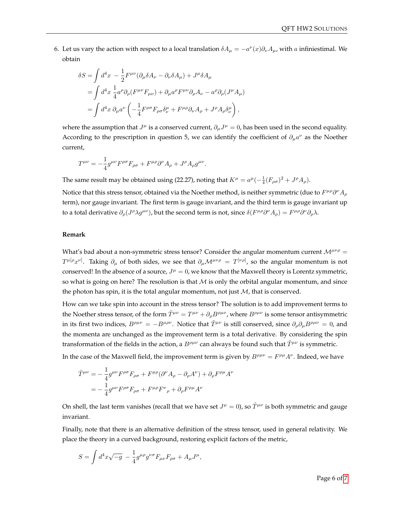6. Let us vary the action with respect to a local translation  $\delta A_\mu = -a^\nu(x)\partial_\nu A_\mu$ , with a infiniestimal. We obtain

$$
\delta S = \int d^4x \ -\frac{1}{2} F^{\mu\nu} (\partial_\mu \delta A_\nu - \partial_\nu \delta A_\mu) + J^\mu \delta A_\mu
$$
  
= 
$$
\int d^4x \ \frac{1}{4} a^\rho \partial_\rho (F^{\mu\nu} F_{\mu\nu}) + \partial_\mu a^\rho F^{\mu\nu} \partial_\rho A_\nu - a^\rho \partial_\rho (J^\mu A_\mu)
$$
  
= 
$$
\int d^4x \ \partial_\mu a^\nu \left( -\frac{1}{4} F^{\rho\sigma} F_{\rho\sigma} \delta^\mu_\nu + F^{\mu\rho} \partial_\nu A_\rho + J^\rho A_\rho \delta^\mu_\nu \right),
$$

where the assumption that  $J^{\mu}$  is a conserved current,  $\partial_{\mu}J^{\mu}=0$ , has been used in the second equality. According to the prescription in question 5, we can identify the coefficient of  $\partial_{\mu}a^{\nu}$  as the Noether current,

$$
T^{\mu\nu} = -\frac{1}{4}g^{\mu\nu}F^{\rho\sigma}F_{\rho\sigma} + F^{\mu\rho}\partial^{\nu}A_{\rho} + J^{\rho}A_{\rho}g^{\mu\nu}.
$$

The same result may be obtained using (22.27), noting that  $K^{\mu} = a^{\mu}(-\frac{1}{4}(F_{\rho\sigma})^2 + J^{\rho}A_{\rho})$ .

Notice that this stress tensor, obtained via the Noether method, is neither symmetric (due to  $F^{\mu\rho}\partial^\nu A_\rho$ term), nor gauge invariant. The first term is gauge invariant, and the third term is gauge invariant up to a total derivative  $\partial_{\rho}(J^{\rho}\lambda g^{\mu\nu})$ , but the second term is not, since  $\delta(F^{\mu\rho}\partial^{\nu}A_{\rho})=F^{\mu\rho}\partial^{\nu}\partial_{\rho}\lambda$ .

## **Remark**

What's bad about a non-symmetric stress tensor? Consider the angular momentum current  $\mathcal{M}^{\mu\nu\rho}$  =  $T^{\mu[\rho}x^{\nu]}$ . Taking  $\partial_\mu$  of both sides, we see that  $\partial_\mu\mathcal{M}^{\mu\nu\rho}\,=\,T^{[\nu\rho]}$ , so the angular momentum is not conserved! In the absence of a source,  $J^{\mu} = 0$ , we know that the Maxwell theory is Lorentz symmetric, so what is going on here? The resolution is that  $M$  is only the orbital angular momentum, and since the photon has spin, it is the total angular momentum, not just  $M$ , that is conserved.

How can we take spin into account in the stress tensor? The solution is to add improvement terms to the Noether stress tensor, of the form  $\tilde{T}^{\mu\nu}=T^{\mu\nu}+\partial_\rho B^{\rho\mu\nu}$ , where  $B^{\rho\mu\nu}$  is some tensor antisymmetric in its first two indices,  $B^{\rho\mu\nu} = -B^{\mu\rho\nu}$ . Notice that  $\tilde{T}^{\mu\nu}$  is still conserved, since  $\partial_{\rho}\partial_{\mu}B^{\rho\mu\nu} = 0$ , and the momenta are unchanged as the improvement term is a total derivative. By considering the spin transformation of the fields in the action, a  $B^{\rho\mu\nu}$  can always be found such that  $\tilde{T}^{\mu\nu}$  is symmetric.

In the case of the Maxwell field, the improvement term is given by  $B^{\rho\mu\nu} = F^{\rho\mu}A^{\nu}$ . Indeed, we have

$$
\tilde{T}^{\mu\nu} = -\frac{1}{4}g^{\mu\nu}F^{\rho\sigma}F_{\rho\sigma} + F^{\mu\rho}(\partial^{\nu}A_{\rho} - \partial_{\rho}A^{\nu}) + \partial_{\rho}F^{\rho\mu}A^{\nu}
$$

$$
= -\frac{1}{4}g^{\mu\nu}F^{\rho\sigma}F_{\rho\sigma} + F^{\mu\rho}F^{\nu}{}_{\rho} + \partial_{\rho}F^{\rho\mu}A^{\nu}
$$

On shell, the last term vanishes (recall that we have set  $J^{\mu} = 0$ ), so  $\tilde{T}^{\mu\nu}$  is both symmetric and gauge invariant.

Finally, note that there is an alternative definition of the stress tensor, used in general relativity. We place the theory in a curved background, restoring explicit factors of the metric,

$$
S = \int d^4x \sqrt{-g} - \frac{1}{4} g^{\mu \rho} g^{\nu \sigma} F_{\mu \nu} F_{\rho \sigma} + A_{\mu} J^{\mu},
$$